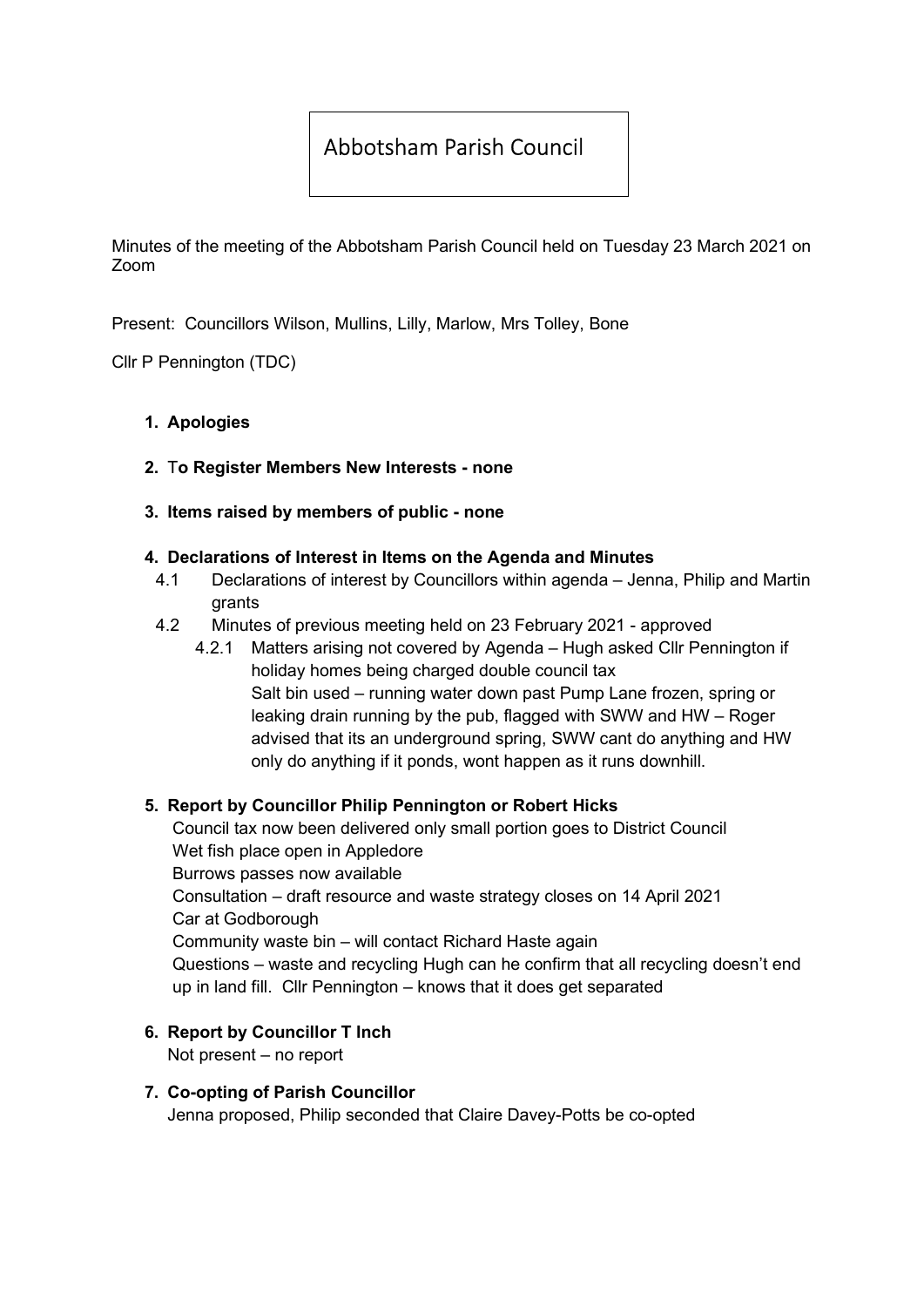# Abbotsham Parish Council

Minutes of the meeting of the Abbotsham Parish Council held on Tuesday 23 March 2021 on Zoom

Present: Councillors Wilson, Mullins, Lilly, Marlow, Mrs Tolley, Bone

Cllr P Pennington (TDC)

### 1. Apologies

2. To Register Members New Interests - none

### 3. Items raised by members of public - none

### 4. Declarations of Interest in Items on the Agenda and Minutes

- 4.1 Declarations of interest by Councillors within agenda Jenna, Philip and Martin grants
- 4.2 Minutes of previous meeting held on 23 February 2021 approved
	- 4.2.1 Matters arising not covered by Agenda Hugh asked Cllr Pennington if holiday homes being charged double council tax Salt bin used – running water down past Pump Lane frozen, spring or leaking drain running by the pub, flagged with SWW and HW – Roger advised that its an underground spring, SWW cant do anything and HW only do anything if it ponds, wont happen as it runs downhill.

### 5. Report by Councillor Philip Pennington or Robert Hicks

Council tax now been delivered only small portion goes to District Council Wet fish place open in Appledore Burrows passes now available Consultation – draft resource and waste strategy closes on 14 April 2021 Car at Godborough Community waste bin – will contact Richard Haste again Questions – waste and recycling Hugh can he confirm that all recycling doesn't end up in land fill. Cllr Pennington – knows that it does get separated

### 6. Report by Councillor T Inch

Not present – no report

### 7. Co-opting of Parish Councillor

Jenna proposed, Philip seconded that Claire Davey-Potts be co-opted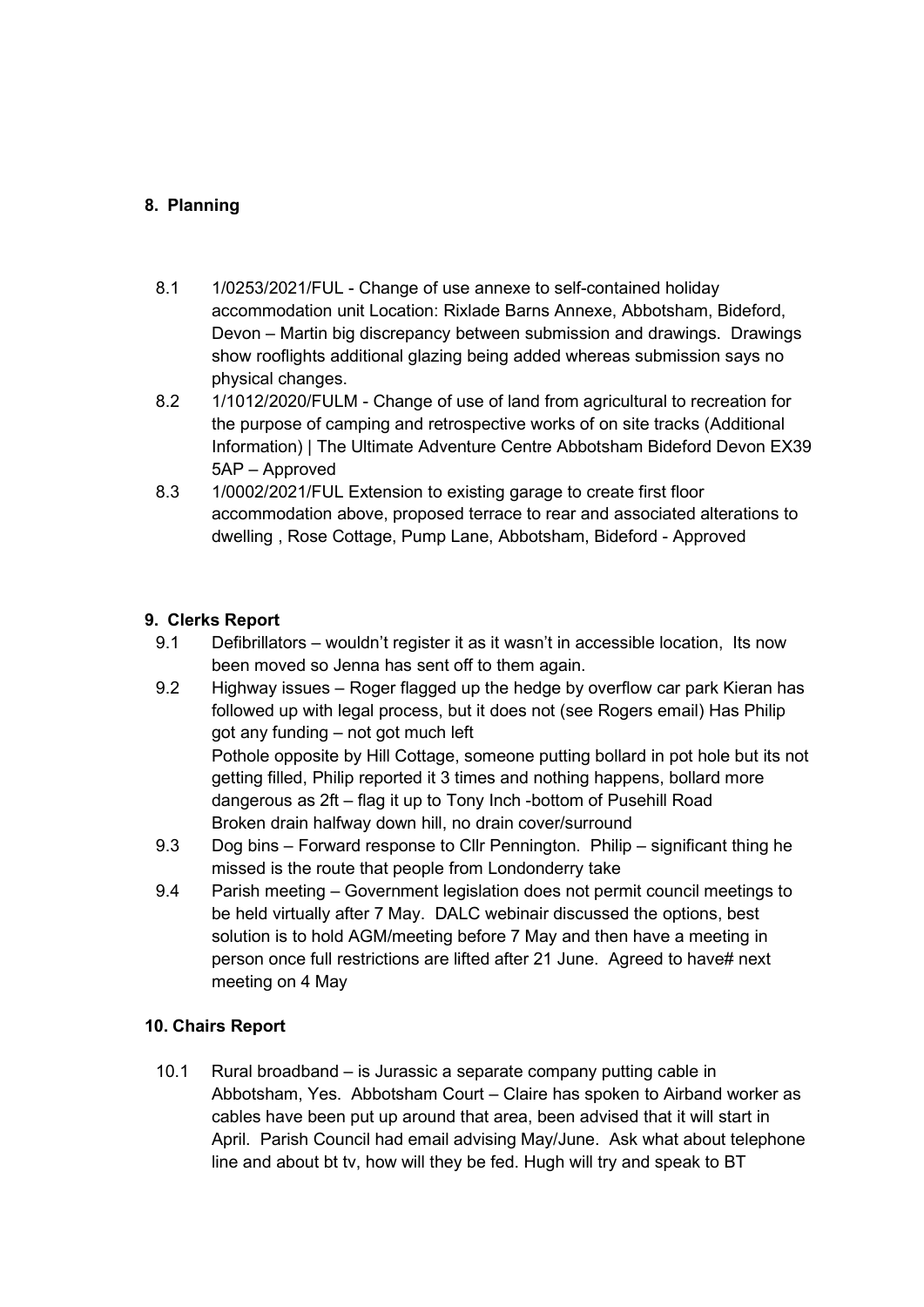# 8. Planning

- 8.1 1/0253/2021/FUL Change of use annexe to self-contained holiday accommodation unit Location: Rixlade Barns Annexe, Abbotsham, Bideford, Devon – Martin big discrepancy between submission and drawings. Drawings show rooflights additional glazing being added whereas submission says no physical changes.
- 8.2 1/1012/2020/FULM Change of use of land from agricultural to recreation for the purpose of camping and retrospective works of on site tracks (Additional Information) | The Ultimate Adventure Centre Abbotsham Bideford Devon EX39 5AP – Approved
- 8.3 1/0002/2021/FUL Extension to existing garage to create first floor accommodation above, proposed terrace to rear and associated alterations to dwelling , Rose Cottage, Pump Lane, Abbotsham, Bideford - Approved

# 9. Clerks Report

- 9.1 Defibrillators wouldn't register it as it wasn't in accessible location, Its now been moved so Jenna has sent off to them again.
- 9.2 Highway issues Roger flagged up the hedge by overflow car park Kieran has followed up with legal process, but it does not (see Rogers email) Has Philip got any funding – not got much left Pothole opposite by Hill Cottage, someone putting bollard in pot hole but its not getting filled, Philip reported it 3 times and nothing happens, bollard more dangerous as 2ft – flag it up to Tony Inch -bottom of Pusehill Road Broken drain halfway down hill, no drain cover/surround
- 9.3 Dog bins Forward response to Cllr Pennington. Philip significant thing he missed is the route that people from Londonderry take
- 9.4 Parish meeting Government legislation does not permit council meetings to be held virtually after 7 May. DALC webinair discussed the options, best solution is to hold AGM/meeting before 7 May and then have a meeting in person once full restrictions are lifted after 21 June. Agreed to have# next meeting on 4 May

# 10. Chairs Report

10.1 Rural broadband – is Jurassic a separate company putting cable in Abbotsham, Yes. Abbotsham Court – Claire has spoken to Airband worker as cables have been put up around that area, been advised that it will start in April. Parish Council had email advising May/June. Ask what about telephone line and about bt tv, how will they be fed. Hugh will try and speak to BT